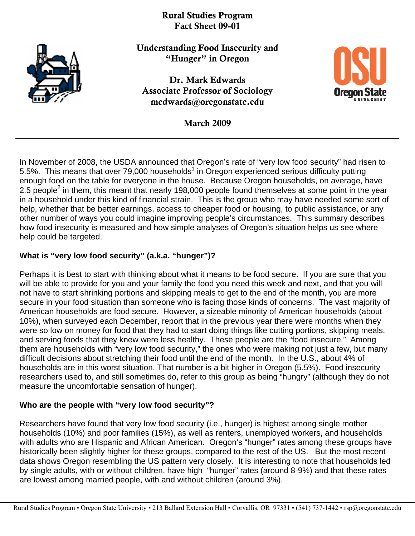# Rural Studies Program Fact Sheet 09-01



Understanding Food Insecurity and "Hunger" in Oregon

Dr. Mark Edwards Associate Professor of Sociology medwards@oregonstate.edu



March 2009

In November of 2008, the USDA announced that Oregon's rate of "very low food security" had risen to 5.5%. This means that over 79,000 households<sup>1</sup> in Oregon experienced serious difficulty putting enough food on the table for everyone in the house. Because Oregon households, on average, have 2.5 people<sup>2</sup> in them, this meant that nearly 198,000 people found themselves at some point in the year in a household under this kind of financial strain. This is the group who may have needed some sort of help, whether that be better earnings, access to cheaper food or housing, to public assistance, or any other number of ways you could imagine improving people's circumstances. This summary describes how food insecurity is measured and how simple analyses of Oregon's situation helps us see where help could be targeted.

# **What is "very low food security" (a.k.a. "hunger")?**

Perhaps it is best to start with thinking about what it means to be food secure. If you are sure that you will be able to provide for you and your family the food you need this week and next, and that you will not have to start shrinking portions and skipping meals to get to the end of the month, you are more secure in your food situation than someone who is facing those kinds of concerns. The vast majority of American households are food secure. However, a sizeable minority of American households (about 10%), when surveyed each December, report that in the previous year there were months when they were so low on money for food that they had to start doing things like cutting portions, skipping meals, and serving foods that they knew were less healthy. These people are the "food insecure." Among them are households with "very low food security," the ones who were making not just a few, but many difficult decisions about stretching their food until the end of the month. In the U.S., about 4% of households are in this worst situation. That number is a bit higher in Oregon (5.5%). Food insecurity researchers used to, and still sometimes do, refer to this group as being "hungry" (although they do not measure the uncomfortable sensation of hunger).

## **Who are the people with "very low food security"?**

Researchers have found that very low food security (i.e., hunger) is highest among single mother households (10%) and poor families (15%), as well as renters, unemployed workers, and households with adults who are Hispanic and African American. Oregon's "hunger" rates among these groups have historically been slightly higher for these groups, compared to the rest of the US. But the most recent data shows Oregon resembling the US pattern very closely. It is interesting to note that households led by single adults, with or without children, have high "hunger" rates (around 8-9%) and that these rates are lowest among married people, with and without children (around 3%).